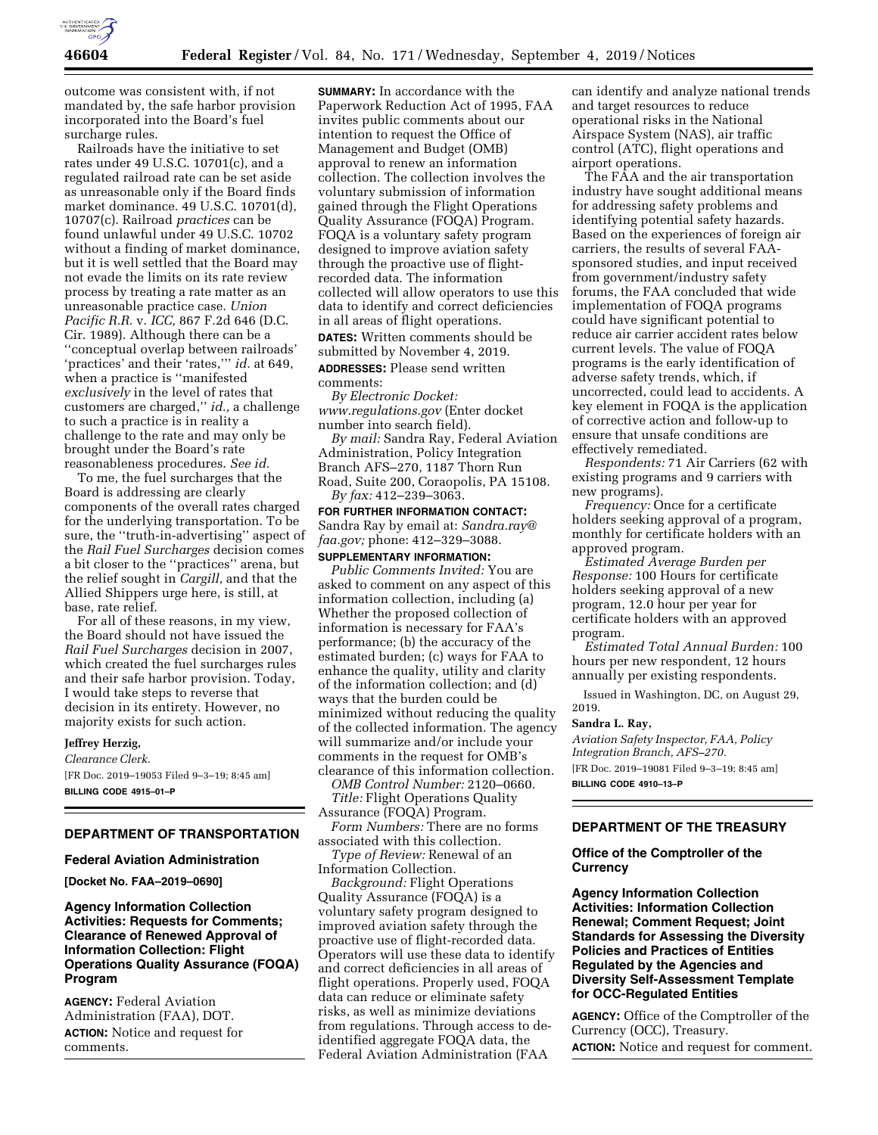

outcome was consistent with, if not mandated by, the safe harbor provision incorporated into the Board's fuel surcharge rules.

Railroads have the initiative to set rates under 49 U.S.C. 10701(c), and a regulated railroad rate can be set aside as unreasonable only if the Board finds market dominance. 49 U.S.C. 10701(d), 10707(c). Railroad *practices* can be found unlawful under 49 U.S.C. 10702 without a finding of market dominance, but it is well settled that the Board may not evade the limits on its rate review process by treating a rate matter as an unreasonable practice case. *Union Pacific R.R.* v. *ICC,* 867 F.2d 646 (D.C. Cir. 1989). Although there can be a ''conceptual overlap between railroads' 'practices' and their 'rates,''' *id.* at 649, when a practice is ''manifested *exclusively* in the level of rates that customers are charged,'' *id.,* a challenge to such a practice is in reality a challenge to the rate and may only be brought under the Board's rate reasonableness procedures. *See id.* 

To me, the fuel surcharges that the Board is addressing are clearly components of the overall rates charged for the underlying transportation. To be sure, the ''truth-in-advertising'' aspect of the *Rail Fuel Surcharges* decision comes a bit closer to the ''practices'' arena, but the relief sought in *Cargill,* and that the Allied Shippers urge here, is still, at base, rate relief.

For all of these reasons, in my view, the Board should not have issued the *Rail Fuel Surcharges* decision in 2007, which created the fuel surcharges rules and their safe harbor provision. Today, I would take steps to reverse that decision in its entirety. However, no majority exists for such action.

### **Jeffrey Herzig,**

*Clearance Clerk.*  [FR Doc. 2019–19053 Filed 9–3–19; 8:45 am] **BILLING CODE 4915–01–P** 

## **DEPARTMENT OF TRANSPORTATION**

### **Federal Aviation Administration**

**[Docket No. FAA–2019–0690]** 

### **Agency Information Collection Activities: Requests for Comments; Clearance of Renewed Approval of Information Collection: Flight Operations Quality Assurance (FOQA) Program**

**AGENCY:** Federal Aviation Administration (FAA), DOT. **ACTION:** Notice and request for comments.

**SUMMARY:** In accordance with the Paperwork Reduction Act of 1995, FAA invites public comments about our intention to request the Office of Management and Budget (OMB) approval to renew an information collection. The collection involves the voluntary submission of information gained through the Flight Operations Quality Assurance (FOQA) Program. FOQA is a voluntary safety program designed to improve aviation safety through the proactive use of flightrecorded data. The information collected will allow operators to use this data to identify and correct deficiencies in all areas of flight operations. **DATES:** Written comments should be submitted by November 4, 2019.

**ADDRESSES:** Please send written comments:

*By Electronic Docket: [www.regulations.gov](http://www.regulations.gov)* (Enter docket number into search field).

*By mail:* Sandra Ray, Federal Aviation Administration, Policy Integration Branch AFS–270, 1187 Thorn Run Road, Suite 200, Coraopolis, PA 15108. *By fax:* 412–239–3063.

**FOR FURTHER INFORMATION CONTACT:**  Sandra Ray by email at: *[Sandra.ray@](mailto:Sandra.ray@faa.gov) [faa.gov;](mailto:Sandra.ray@faa.gov)* phone: 412–329–3088.

## **SUPPLEMENTARY INFORMATION:**

*Public Comments Invited:* You are asked to comment on any aspect of this information collection, including (a) Whether the proposed collection of information is necessary for FAA's performance; (b) the accuracy of the estimated burden; (c) ways for FAA to enhance the quality, utility and clarity of the information collection; and (d) ways that the burden could be minimized without reducing the quality of the collected information. The agency will summarize and/or include your comments in the request for OMB's clearance of this information collection.

*OMB Control Number:* 2120–0660. *Title:* Flight Operations Quality Assurance (FOQA) Program.

*Form Numbers:* There are no forms associated with this collection.

*Type of Review:* Renewal of an Information Collection.

*Background:* Flight Operations Quality Assurance (FOQA) is a voluntary safety program designed to improved aviation safety through the proactive use of flight-recorded data. Operators will use these data to identify and correct deficiencies in all areas of flight operations. Properly used, FOQA data can reduce or eliminate safety risks, as well as minimize deviations from regulations. Through access to deidentified aggregate FOQA data, the Federal Aviation Administration (FAA

can identify and analyze national trends and target resources to reduce operational risks in the National Airspace System (NAS), air traffic control (ATC), flight operations and airport operations.

The FAA and the air transportation industry have sought additional means for addressing safety problems and identifying potential safety hazards. Based on the experiences of foreign air carriers, the results of several FAAsponsored studies, and input received from government/industry safety forums, the FAA concluded that wide implementation of FOQA programs could have significant potential to reduce air carrier accident rates below current levels. The value of FOQA programs is the early identification of adverse safety trends, which, if uncorrected, could lead to accidents. A key element in FOQA is the application of corrective action and follow-up to ensure that unsafe conditions are effectively remediated.

*Respondents:* 71 Air Carriers (62 with existing programs and 9 carriers with new programs).

*Frequency:* Once for a certificate holders seeking approval of a program, monthly for certificate holders with an approved program.

*Estimated Average Burden per Response:* 100 Hours for certificate holders seeking approval of a new program, 12.0 hour per year for certificate holders with an approved program.

*Estimated Total Annual Burden:* 100 hours per new respondent, 12 hours annually per existing respondents.

Issued in Washington, DC, on August 29, 2019.

#### **Sandra L. Ray,**

*Aviation Safety Inspector, FAA, Policy Integration Branch, AFS–270.*  [FR Doc. 2019–19081 Filed 9–3–19; 8:45 am] **BILLING CODE 4910–13–P** 

### **DEPARTMENT OF THE TREASURY**

### **Office of the Comptroller of the Currency**

**Agency Information Collection Activities: Information Collection Renewal; Comment Request; Joint Standards for Assessing the Diversity Policies and Practices of Entities Regulated by the Agencies and Diversity Self-Assessment Template for OCC-Regulated Entities** 

**AGENCY:** Office of the Comptroller of the Currency (OCC), Treasury. **ACTION:** Notice and request for comment.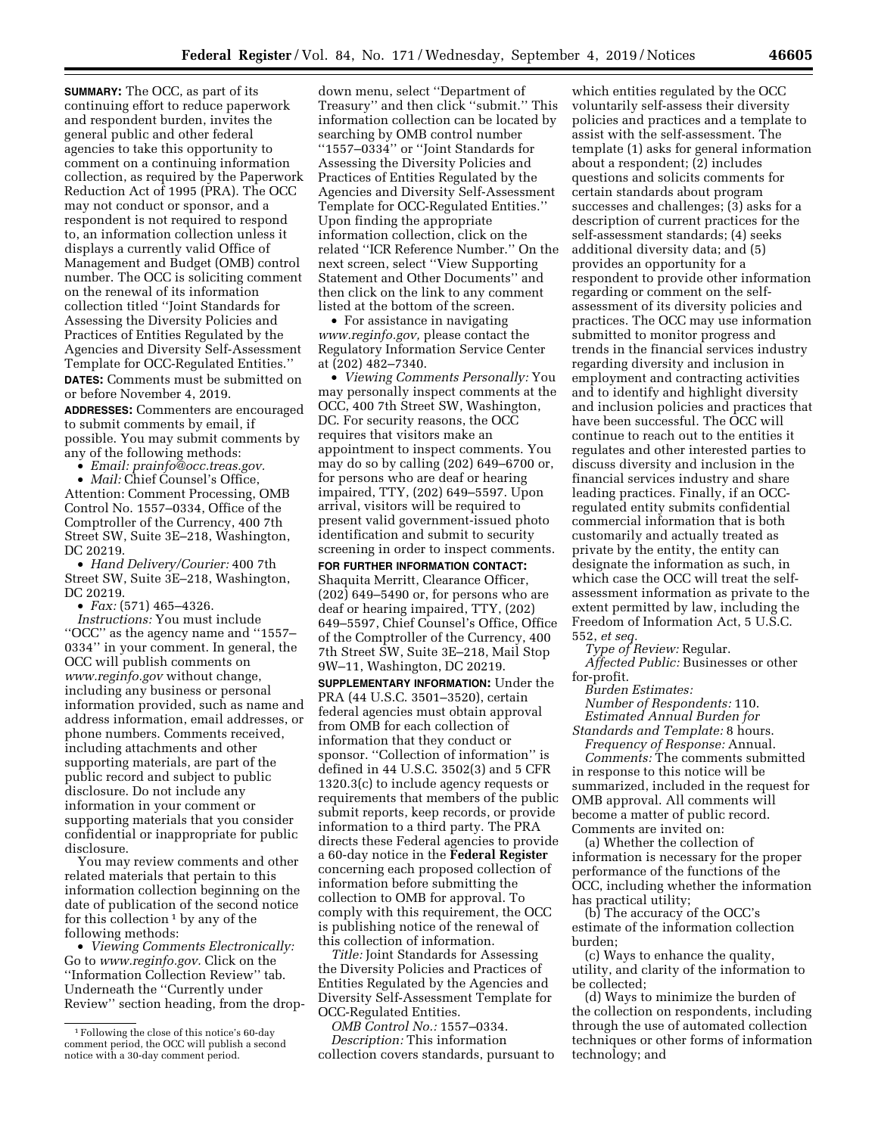**SUMMARY:** The OCC, as part of its continuing effort to reduce paperwork and respondent burden, invites the general public and other federal agencies to take this opportunity to comment on a continuing information collection, as required by the Paperwork Reduction Act of 1995 (PRA). The OCC may not conduct or sponsor, and a respondent is not required to respond to, an information collection unless it displays a currently valid Office of Management and Budget (OMB) control number. The OCC is soliciting comment on the renewal of its information collection titled ''Joint Standards for Assessing the Diversity Policies and Practices of Entities Regulated by the Agencies and Diversity Self-Assessment Template for OCC-Regulated Entities.'' **DATES:** Comments must be submitted on or before November 4, 2019.

**ADDRESSES:** Commenters are encouraged to submit comments by email, if possible. You may submit comments by any of the following methods:

• *Email: [prainfo@occ.treas.gov.](mailto:prainfo@occ.treas.gov)* 

• *Mail:* Chief Counsel's Office, Attention: Comment Processing, OMB Control No. 1557–0334, Office of the Comptroller of the Currency, 400 7th Street SW, Suite 3E–218, Washington, DC 20219.

• *Hand Delivery/Courier:* 400 7th Street SW, Suite 3E–218, Washington, DC 20219.

• *Fax:* (571) 465–4326.

*Instructions:* You must include ''OCC'' as the agency name and ''1557– 0334'' in your comment. In general, the OCC will publish comments on *[www.reginfo.gov](http://www.reginfo.gov)* without change, including any business or personal information provided, such as name and address information, email addresses, or phone numbers. Comments received, including attachments and other supporting materials, are part of the public record and subject to public disclosure. Do not include any information in your comment or supporting materials that you consider confidential or inappropriate for public disclosure.

You may review comments and other related materials that pertain to this information collection beginning on the date of publication of the second notice for this collection 1 by any of the following methods:

• *Viewing Comments Electronically:*  Go to *[www.reginfo.gov.](http://www.reginfo.gov)* Click on the ''Information Collection Review'' tab. Underneath the ''Currently under Review'' section heading, from the drop-

down menu, select ''Department of Treasury'' and then click ''submit.'' This information collection can be located by searching by OMB control number ''1557–0334'' or ''Joint Standards for Assessing the Diversity Policies and Practices of Entities Regulated by the Agencies and Diversity Self-Assessment Template for OCC-Regulated Entities.'' Upon finding the appropriate information collection, click on the related ''ICR Reference Number.'' On the next screen, select ''View Supporting Statement and Other Documents'' and then click on the link to any comment listed at the bottom of the screen.

• For assistance in navigating *[www.reginfo.gov,](http://www.reginfo.gov)* please contact the Regulatory Information Service Center at (202) 482–7340.

• *Viewing Comments Personally:* You may personally inspect comments at the OCC, 400 7th Street SW, Washington, DC. For security reasons, the OCC requires that visitors make an appointment to inspect comments. You may do so by calling (202) 649–6700 or, for persons who are deaf or hearing impaired, TTY, (202) 649–5597. Upon arrival, visitors will be required to present valid government-issued photo identification and submit to security screening in order to inspect comments.

**FOR FURTHER INFORMATION CONTACT:**  Shaquita Merritt, Clearance Officer,  $(202)$  649–5490 or, for persons who are deaf or hearing impaired, TTY, (202) 649–5597, Chief Counsel's Office, Office of the Comptroller of the Currency, 400 7th Street SW, Suite 3E–218, Mail Stop 9W–11, Washington, DC 20219.

**SUPPLEMENTARY INFORMATION:** Under the PRA (44 U.S.C. 3501–3520), certain federal agencies must obtain approval from OMB for each collection of information that they conduct or sponsor. ''Collection of information'' is defined in 44 U.S.C. 3502(3) and 5 CFR 1320.3(c) to include agency requests or requirements that members of the public submit reports, keep records, or provide information to a third party. The PRA directs these Federal agencies to provide a 60-day notice in the **Federal Register**  concerning each proposed collection of information before submitting the collection to OMB for approval. To comply with this requirement, the OCC is publishing notice of the renewal of this collection of information.

*Title:* Joint Standards for Assessing the Diversity Policies and Practices of Entities Regulated by the Agencies and Diversity Self-Assessment Template for OCC-Regulated Entities.

*OMB Control No.:* 1557–0334. *Description:* This information collection covers standards, pursuant to

which entities regulated by the OCC voluntarily self-assess their diversity policies and practices and a template to assist with the self-assessment. The template (1) asks for general information about a respondent; (2) includes questions and solicits comments for certain standards about program successes and challenges; (3) asks for a description of current practices for the self-assessment standards; (4) seeks additional diversity data; and (5) provides an opportunity for a respondent to provide other information regarding or comment on the selfassessment of its diversity policies and practices. The OCC may use information submitted to monitor progress and trends in the financial services industry regarding diversity and inclusion in employment and contracting activities and to identify and highlight diversity and inclusion policies and practices that have been successful. The OCC will continue to reach out to the entities it regulates and other interested parties to discuss diversity and inclusion in the financial services industry and share leading practices. Finally, if an OCCregulated entity submits confidential commercial information that is both customarily and actually treated as private by the entity, the entity can designate the information as such, in which case the OCC will treat the selfassessment information as private to the extent permitted by law, including the Freedom of Information Act, 5 U.S.C. 552, *et seq.* 

*Type of Review:* Regular.

*Affected Public:* Businesses or other for-profit.

*Burden Estimates:* 

*Number of Respondents:* 110. *Estimated Annual Burden for Standards and Template:* 8 hours.

*Frequency of Response:* Annual.

*Comments:* The comments submitted in response to this notice will be summarized, included in the request for OMB approval. All comments will become a matter of public record. Comments are invited on:

(a) Whether the collection of information is necessary for the proper performance of the functions of the OCC, including whether the information has practical utility;

(b) The accuracy of the OCC's estimate of the information collection burden;

(c) Ways to enhance the quality, utility, and clarity of the information to be collected;

(d) Ways to minimize the burden of the collection on respondents, including through the use of automated collection techniques or other forms of information technology; and

<sup>1</sup>Following the close of this notice's 60-day comment period, the OCC will publish a second notice with a 30-day comment period.